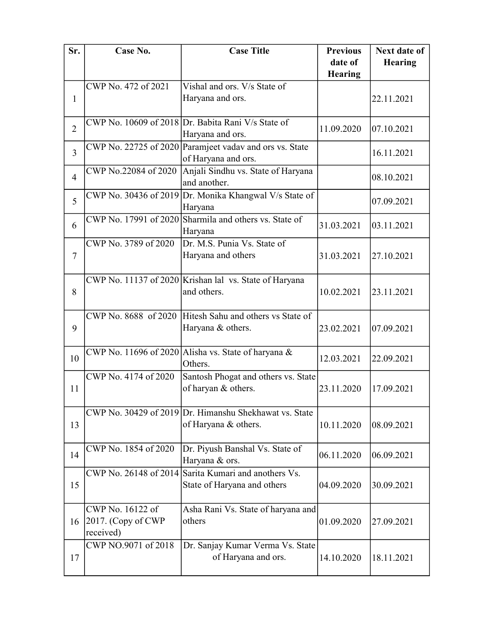| Sr.                      | Case No.             | <b>Case Title</b>                                       | <b>Previous</b> | <b>Next date of</b> |
|--------------------------|----------------------|---------------------------------------------------------|-----------------|---------------------|
|                          |                      |                                                         | date of         | <b>Hearing</b>      |
|                          |                      |                                                         | <b>Hearing</b>  |                     |
|                          | CWP No. 472 of 2021  | Vishal and ors. V/s State of                            |                 |                     |
| $\mathbf{1}$             |                      | Haryana and ors.                                        |                 | 22.11.2021          |
|                          |                      |                                                         |                 |                     |
|                          |                      | CWP No. 10609 of 2018 Dr. Babita Rani V/s State of      |                 |                     |
| $\overline{2}$           |                      | Haryana and ors.                                        | 11.09.2020      | 07.10.2021          |
|                          |                      | CWP No. 22725 of 2020 Paramjeet vadav and ors vs. State |                 |                     |
| 3                        |                      | of Haryana and ors.                                     |                 | 16.11.2021          |
|                          | CWP No.22084 of 2020 | Anjali Sindhu vs. State of Haryana                      |                 |                     |
| $\overline{\mathcal{A}}$ |                      | and another.                                            |                 | 08.10.2021          |
|                          |                      | CWP No. 30436 of 2019 Dr. Monika Khangwal V/s State of  |                 |                     |
| 5                        |                      | Haryana                                                 |                 | 07.09.2021          |
|                          |                      | CWP No. 17991 of 2020 Sharmila and others vs. State of  |                 |                     |
| 6                        |                      | Haryana                                                 | 31.03.2021      | 03.11.2021          |
|                          | CWP No. 3789 of 2020 | Dr. M.S. Punia Vs. State of                             |                 |                     |
| $\tau$                   |                      | Haryana and others                                      | 31.03.2021      | 27.10.2021          |
|                          |                      |                                                         |                 |                     |
|                          |                      | CWP No. 11137 of 2020 Krishan lal vs. State of Haryana  |                 |                     |
| 8                        |                      | and others.                                             | 10.02.2021      | 23.11.2021          |
|                          |                      |                                                         |                 |                     |
|                          |                      | CWP No. 8688 of 2020 Hitesh Sahu and others vs State of |                 |                     |
| 9                        |                      | Haryana & others.                                       | 23.02.2021      | 07.09.2021          |
|                          |                      |                                                         |                 |                     |
|                          |                      | CWP No. 11696 of 2020 Alisha vs. State of haryana &     |                 |                     |
| 10                       |                      | Others.                                                 | 12.03.2021      | 22.09.2021          |
|                          | CWP No. 4174 of 2020 | Santosh Phogat and others vs. State                     |                 |                     |
| 11                       |                      | of haryan & others.                                     | 23.11.2020      | 17.09.2021          |
|                          |                      |                                                         |                 |                     |
|                          |                      | CWP No. 30429 of 2019 Dr. Himanshu Shekhawat vs. State  |                 |                     |
| 13                       |                      | of Haryana & others.                                    | 10.11.2020      | 08.09.2021          |
|                          |                      |                                                         |                 |                     |
|                          | CWP No. 1854 of 2020 | Dr. Piyush Banshal Vs. State of                         |                 |                     |
| 14                       |                      | Haryana & ors.                                          | 06.11.2020      | 06.09.2021          |
|                          |                      | CWP No. 26148 of 2014 Sarita Kumari and anothers Vs.    |                 |                     |
| 15                       |                      | State of Haryana and others                             | 04.09.2020      | 30.09.2021          |
|                          |                      |                                                         |                 |                     |
|                          | CWP No. 16122 of     | Asha Rani Vs. State of haryana and                      |                 |                     |
| 16                       | 2017. (Copy of CWP   | others                                                  | 01.09.2020      | 27.09.2021          |
|                          | received)            |                                                         |                 |                     |
|                          | CWP NO.9071 of 2018  | Dr. Sanjay Kumar Verma Vs. State                        |                 |                     |
| 17                       |                      | of Haryana and ors.                                     | 14.10.2020      | 18.11.2021          |
|                          |                      |                                                         |                 |                     |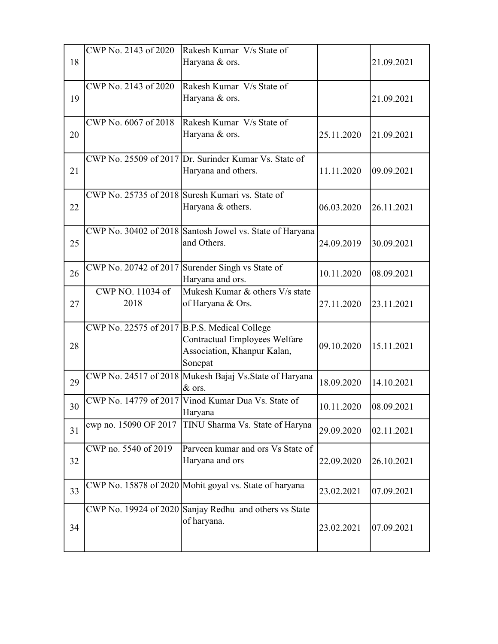|    | CWP No. 2143 of 2020                         | Rakesh Kumar V/s State of                                |            |            |
|----|----------------------------------------------|----------------------------------------------------------|------------|------------|
| 18 |                                              | Haryana & ors.                                           |            | 21.09.2021 |
|    | CWP No. 2143 of 2020                         | Rakesh Kumar V/s State of                                |            |            |
| 19 |                                              | Haryana & ors.                                           |            | 21.09.2021 |
|    | CWP No. 6067 of 2018                         | Rakesh Kumar V/s State of                                |            |            |
| 20 |                                              | Haryana & ors.                                           | 25.11.2020 | 21.09.2021 |
|    |                                              | CWP No. 25509 of 2017 Dr. Surinder Kumar Vs. State of    |            |            |
| 21 |                                              | Haryana and others.                                      | 11.11.2020 | 09.09.2021 |
|    |                                              | CWP No. 25735 of 2018 Suresh Kumari vs. State of         |            |            |
| 22 |                                              | Haryana & others.                                        | 06.03.2020 | 26.11.2021 |
|    |                                              | CWP No. 30402 of 2018 Santosh Jowel vs. State of Haryana |            |            |
| 25 |                                              | and Others.                                              | 24.09.2019 | 30.09.2021 |
|    |                                              | CWP No. 20742 of 2017 Surender Singh vs State of         |            |            |
| 26 |                                              | Haryana and ors.                                         | 10.11.2020 | 08.09.2021 |
|    | CWP NO. 11034 of                             | Mukesh Kumar & others V/s state                          |            |            |
|    |                                              | of Haryana & Ors.                                        | 27.11.2020 |            |
| 27 | 2018                                         |                                                          |            | 23.11.2021 |
|    | CWP No. 22575 of 2017 B.P.S. Medical College |                                                          |            |            |
|    |                                              | Contractual Employees Welfare                            |            |            |
| 28 |                                              | Association, Khanpur Kalan,                              | 09.10.2020 | 15.11.2021 |
|    |                                              | Sonepat                                                  |            |            |
|    |                                              | CWP No. 24517 of 2018 Mukesh Bajaj Vs.State of Haryana   |            |            |
| 29 |                                              | $\&$ ors.                                                | 18.09.2020 | 14.10.2021 |
|    |                                              | CWP No. 14779 of 2017 Vinod Kumar Dua Vs. State of       |            |            |
| 30 |                                              | Haryana                                                  | 10.11.2020 | 08.09.2021 |
| 31 | cwp no. 15090 OF 2017                        | TINU Sharma Vs. State of Haryna                          | 29.09.2020 | 02.11.2021 |
|    | CWP no. 5540 of 2019                         | Parveen kumar and ors Vs State of                        |            |            |
| 32 |                                              | Haryana and ors                                          | 22.09.2020 | 26.10.2021 |
|    |                                              |                                                          |            |            |
|    |                                              | CWP No. 15878 of 2020 Mohit goyal vs. State of haryana   |            |            |
| 33 |                                              |                                                          | 23.02.2021 | 07.09.2021 |
|    |                                              | CWP No. 19924 of 2020 Sanjay Redhu and others vs State   |            |            |
|    |                                              | of haryana.                                              |            |            |
| 34 |                                              |                                                          | 23.02.2021 | 07.09.2021 |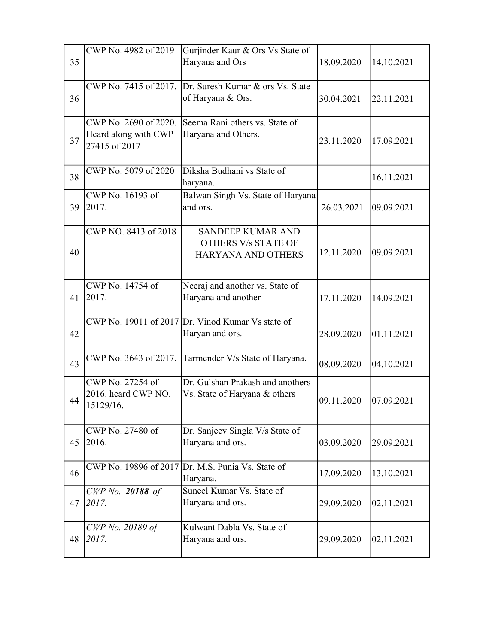|    | CWP No. 4982 of 2019                  | Gurjinder Kaur & Ors Vs State of                         |            |            |
|----|---------------------------------------|----------------------------------------------------------|------------|------------|
| 35 |                                       | Haryana and Ors                                          | 18.09.2020 | 14.10.2021 |
|    |                                       |                                                          |            |            |
|    |                                       | CWP No. 7415 of 2017. $Dr.$ Suresh Kumar & ors Vs. State |            |            |
| 36 |                                       | of Haryana & Ors.                                        | 30.04.2021 | 22.11.2021 |
|    |                                       |                                                          |            |            |
|    | CWP No. 2690 of 2020.                 | Seema Rani others vs. State of                           |            |            |
| 37 | Heard along with CWP<br>27415 of 2017 | Haryana and Others.                                      | 23.11.2020 | 17.09.2021 |
|    |                                       |                                                          |            |            |
|    | CWP No. 5079 of 2020                  | Diksha Budhani vs State of                               |            |            |
| 38 |                                       | haryana.                                                 |            | 16.11.2021 |
|    | CWP No. 16193 of                      | Balwan Singh Vs. State of Haryana                        |            |            |
| 39 | 2017.                                 | and ors.                                                 | 26.03.2021 | 09.09.2021 |
|    |                                       |                                                          |            |            |
|    | CWP NO. 8413 of 2018                  | <b>SANDEEP KUMAR AND</b>                                 |            |            |
|    |                                       | <b>OTHERS V/s STATE OF</b>                               |            |            |
| 40 |                                       | HARYANA AND OTHERS                                       | 12.11.2020 | 09.09.2021 |
|    |                                       |                                                          |            |            |
|    | CWP No. 14754 of                      | Neeraj and another vs. State of                          |            |            |
| 41 | 2017.                                 | Haryana and another                                      | 17.11.2020 | 14.09.2021 |
|    |                                       |                                                          |            |            |
|    |                                       | CWP No. 19011 of 2017 Dr. Vinod Kumar Vs state of        |            |            |
| 42 |                                       | Haryan and ors.                                          | 28.09.2020 | 01.11.2021 |
|    |                                       |                                                          |            |            |
| 43 |                                       | CWP No. 3643 of 2017. Tarmender V/s State of Haryana.    | 08.09.2020 | 04.10.2021 |
|    |                                       |                                                          |            |            |
|    | CWP No. 27254 of                      | Dr. Gulshan Prakash and anothers                         |            |            |
| 44 | 2016. heard CWP NO.                   | Vs. State of Haryana & others                            | 09.11.2020 | 07.09.2021 |
|    | 15129/16.                             |                                                          |            |            |
|    | CWP No. 27480 of                      |                                                          |            |            |
| 45 | 2016.                                 | Dr. Sanjeev Singla V/s State of<br>Haryana and ors.      | 03.09.2020 | 29.09.2021 |
|    |                                       |                                                          |            |            |
|    |                                       | CWP No. 19896 of 2017 Dr. M.S. Punia Vs. State of        |            |            |
| 46 |                                       | Haryana.                                                 | 17.09.2020 | 13.10.2021 |
|    | CWP No. 20188 of                      | Suneel Kumar Vs. State of                                |            |            |
| 47 | 2017.                                 | Haryana and ors.                                         | 29.09.2020 | 02.11.2021 |
|    |                                       |                                                          |            |            |
|    | CWP No. 20189 of                      | Kulwant Dabla Vs. State of                               |            |            |
| 48 | 2017.                                 | Haryana and ors.                                         | 29.09.2020 | 02.11.2021 |
|    |                                       |                                                          |            |            |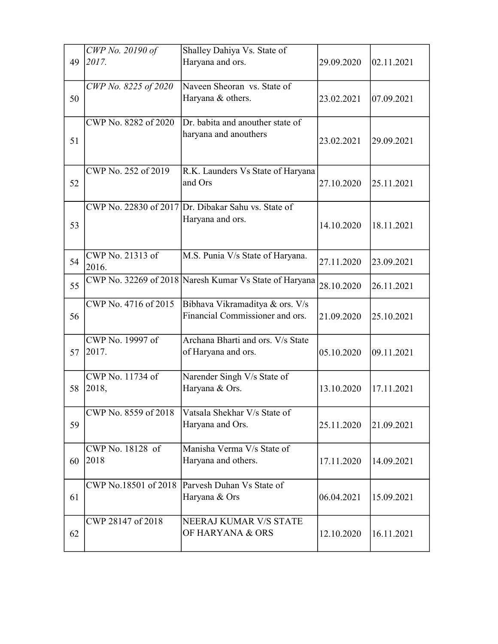|    | CWP No. 20190 of          | Shalley Dahiya Vs. State of                               |            |            |
|----|---------------------------|-----------------------------------------------------------|------------|------------|
| 49 | 2017.                     | Haryana and ors.                                          | 29.09.2020 | 02.11.2021 |
| 50 | CWP No. 8225 of 2020      | Naveen Sheoran vs. State of<br>Haryana & others.          | 23.02.2021 | 07.09.2021 |
|    |                           |                                                           |            |            |
|    | CWP No. 8282 of 2020      | Dr. babita and anouther state of<br>haryana and anouthers |            |            |
| 51 |                           |                                                           | 23.02.2021 | 29.09.2021 |
|    | CWP No. 252 of 2019       | R.K. Launders Vs State of Haryana                         |            |            |
| 52 |                           | and Ors                                                   | 27.10.2020 | 25.11.2021 |
|    |                           | CWP No. 22830 of 2017 $Dr$ . Dibakar Sahu vs. State of    |            |            |
| 53 |                           | Haryana and ors.                                          | 14.10.2020 | 18.11.2021 |
|    |                           |                                                           |            |            |
| 54 | CWP No. 21313 of<br>2016. | M.S. Punia V/s State of Haryana.                          | 27.11.2020 | 23.09.2021 |
| 55 |                           | CWP No. 32269 of 2018 Naresh Kumar Vs State of Haryana    | 28.10.2020 | 26.11.2021 |
|    | CWP No. 4716 of 2015      | Bibhava Vikramaditya & ors. V/s                           |            |            |
| 56 |                           | Financial Commissioner and ors.                           | 21.09.2020 | 25.10.2021 |
|    | CWP No. 19997 of          | Archana Bharti and ors. V/s State                         |            |            |
| 57 | 2017.                     | of Haryana and ors.                                       | 05.10.2020 | 09.11.2021 |
|    | CWP No. 11734 of          | Narender Singh V/s State of                               |            |            |
| 58 | 2018,                     | Haryana & Ors.                                            | 13.10.2020 | 17.11.2021 |
|    | CWP No. 8559 of 2018      | Vatsala Shekhar V/s State of                              |            |            |
| 59 |                           | Haryana and Ors.                                          | 25.11.2020 | 21.09.2021 |
|    | CWP No. 18128 of          | Manisha Verma V/s State of                                |            |            |
| 60 | 2018                      | Haryana and others.                                       | 17.11.2020 | 14.09.2021 |
|    |                           | CWP No.18501 of 2018 Parvesh Duhan Vs State of            |            |            |
| 61 |                           | Haryana & Ors                                             | 06.04.2021 | 15.09.2021 |
|    | CWP 28147 of 2018         | NEERAJ KUMAR V/S STATE                                    |            |            |
| 62 |                           | OF HARYANA & ORS                                          | 12.10.2020 | 16.11.2021 |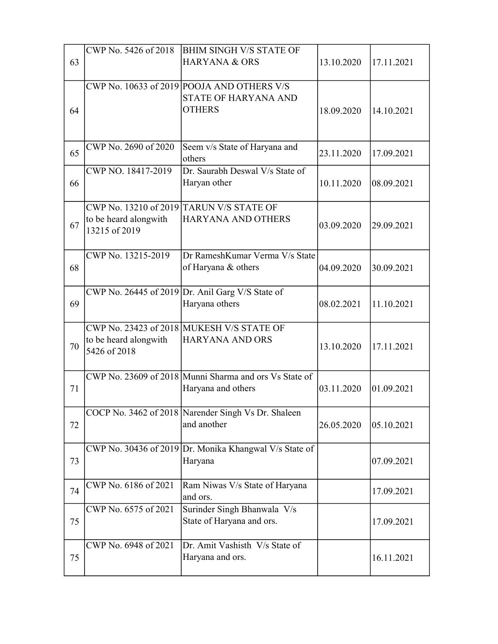|    | CWP No. 5426 of 2018                   | BHIM SINGH V/S STATE OF                                |            |            |
|----|----------------------------------------|--------------------------------------------------------|------------|------------|
| 63 |                                        | <b>HARYANA &amp; ORS</b>                               | 13.10.2020 | 17.11.2021 |
|    |                                        |                                                        |            |            |
|    |                                        | CWP No. 10633 of 2019 POOJA AND OTHERS V/S             |            |            |
|    |                                        | STATE OF HARYANA AND                                   |            |            |
| 64 |                                        | <b>OTHERS</b>                                          | 18.09.2020 | 14.10.2021 |
|    |                                        |                                                        |            |            |
|    |                                        |                                                        |            |            |
| 65 | CWP No. 2690 of 2020                   | Seem v/s State of Haryana and                          | 23.11.2020 | 17.09.2021 |
|    |                                        | others                                                 |            |            |
|    | CWP NO. 18417-2019                     | Dr. Saurabh Deswal V/s State of                        |            |            |
| 66 |                                        | Haryan other                                           | 10.11.2020 | 08.09.2021 |
|    |                                        |                                                        |            |            |
|    |                                        | CWP No. 13210 of 2019 TARUN V/S STATE OF               |            |            |
| 67 | to be heard alongwith<br>13215 of 2019 | <b>HARYANA AND OTHERS</b>                              | 03.09.2020 | 29.09.2021 |
|    |                                        |                                                        |            |            |
|    | CWP No. 13215-2019                     | Dr RameshKumar Verma V/s State                         |            |            |
| 68 |                                        |                                                        | 04.09.2020 |            |
|    |                                        | of Haryana & others                                    |            | 30.09.2021 |
|    |                                        | CWP No. 26445 of 2019 Dr. Anil Garg V/S State of       |            |            |
| 69 |                                        | Haryana others                                         | 08.02.2021 | 11.10.2021 |
|    |                                        |                                                        |            |            |
|    |                                        | CWP No. 23423 of 2018 MUKESH V/S STATE OF              |            |            |
|    | to be heard alongwith                  | <b>HARYANA AND ORS</b>                                 |            |            |
| 70 | 5426 of 2018                           |                                                        | 13.10.2020 | 17.11.2021 |
|    |                                        |                                                        |            |            |
|    |                                        | CWP No. 23609 of 2018 Munni Sharma and ors Vs State of |            |            |
| 71 |                                        | Haryana and others                                     | 03.11.2020 | 01.09.2021 |
|    |                                        |                                                        |            |            |
|    |                                        | COCP No. 3462 of 2018 Narender Singh Vs Dr. Shaleen    |            |            |
| 72 |                                        | and another                                            | 26.05.2020 | 05.10.2021 |
|    |                                        |                                                        |            |            |
|    |                                        | CWP No. 30436 of 2019 Dr. Monika Khangwal V/s State of |            |            |
| 73 |                                        | Haryana                                                |            | 07.09.2021 |
|    |                                        |                                                        |            |            |
| 74 | CWP No. 6186 of 2021                   | Ram Niwas V/s State of Haryana                         |            | 17.09.2021 |
|    |                                        | and ors.                                               |            |            |
|    | CWP No. 6575 of 2021                   | Surinder Singh Bhanwala V/s                            |            |            |
| 75 |                                        | State of Haryana and ors.                              |            | 17.09.2021 |
|    |                                        |                                                        |            |            |
|    | CWP No. 6948 of 2021                   | Dr. Amit Vashisth V/s State of                         |            |            |
| 75 |                                        | Haryana and ors.                                       |            | 16.11.2021 |
|    |                                        |                                                        |            |            |